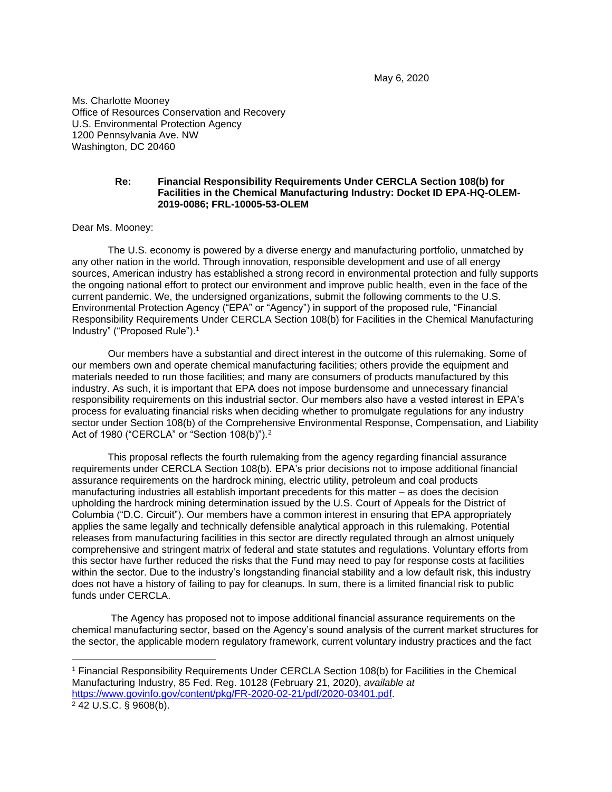May 6, 2020

Ms. Charlotte Mooney Office of Resources Conservation and Recovery U.S. Environmental Protection Agency 1200 Pennsylvania Ave. NW Washington, DC 20460

#### **Re: Financial Responsibility Requirements Under CERCLA Section 108(b) for Facilities in the Chemical Manufacturing Industry: Docket ID EPA-HQ-OLEM-2019-0086; FRL-10005-53-OLEM**

Dear Ms. Mooney:

The U.S. economy is powered by a diverse energy and manufacturing portfolio, unmatched by any other nation in the world. Through innovation, responsible development and use of all energy sources, American industry has established a strong record in environmental protection and fully supports the ongoing national effort to protect our environment and improve public health, even in the face of the current pandemic. We, the undersigned organizations, submit the following comments to the U.S. Environmental Protection Agency ("EPA" or "Agency") in support of the proposed rule, "Financial Responsibility Requirements Under CERCLA Section 108(b) for Facilities in the Chemical Manufacturing Industry" ("Proposed Rule").<sup>1</sup>

Our members have a substantial and direct interest in the outcome of this rulemaking. Some of our members own and operate chemical manufacturing facilities; others provide the equipment and materials needed to run those facilities; and many are consumers of products manufactured by this industry. As such, it is important that EPA does not impose burdensome and unnecessary financial responsibility requirements on this industrial sector. Our members also have a vested interest in EPA's process for evaluating financial risks when deciding whether to promulgate regulations for any industry sector under Section 108(b) of the Comprehensive Environmental Response, Compensation, and Liability Act of 1980 ("CERCLA" or "Section 108(b)").<sup>2</sup>

This proposal reflects the fourth rulemaking from the agency regarding financial assurance requirements under CERCLA Section 108(b). EPA's prior decisions not to impose additional financial assurance requirements on the hardrock mining, electric utility, petroleum and coal products manufacturing industries all establish important precedents for this matter – as does the decision upholding the hardrock mining determination issued by the U.S. Court of Appeals for the District of Columbia ("D.C. Circuit"). Our members have a common interest in ensuring that EPA appropriately applies the same legally and technically defensible analytical approach in this rulemaking. Potential releases from manufacturing facilities in this sector are directly regulated through an almost uniquely comprehensive and stringent matrix of federal and state statutes and regulations. Voluntary efforts from this sector have further reduced the risks that the Fund may need to pay for response costs at facilities within the sector. Due to the industry's longstanding financial stability and a low default risk, this industry does not have a history of failing to pay for cleanups. In sum, there is a limited financial risk to public funds under CERCLA.

The Agency has proposed not to impose additional financial assurance requirements on the chemical manufacturing sector, based on the Agency's sound analysis of the current market structures for the sector, the applicable modern regulatory framework, current voluntary industry practices and the fact

<sup>1</sup> Financial Responsibility Requirements Under CERCLA Section 108(b) for Facilities in the Chemical Manufacturing Industry, 85 Fed. Reg. 10128 (February 21, 2020), *available at*  [https://www.govinfo.gov/content/pkg/FR-2020-02-21/pdf/2020-03401.pdf.](https://www.govinfo.gov/content/pkg/FR-2020-02-21/pdf/2020-03401.pdf) <sup>2</sup> 42 U.S.C. § 9608(b).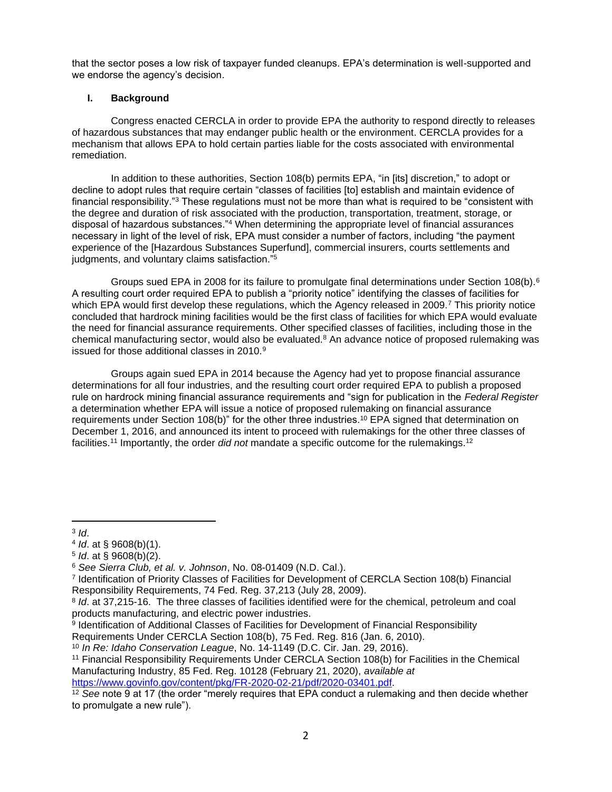that the sector poses a low risk of taxpayer funded cleanups. EPA's determination is well-supported and we endorse the agency's decision.

# **I. Background**

Congress enacted CERCLA in order to provide EPA the authority to respond directly to releases of hazardous substances that may endanger public health or the environment. CERCLA provides for a mechanism that allows EPA to hold certain parties liable for the costs associated with environmental remediation.

In addition to these authorities, Section 108(b) permits EPA, "in [its] discretion," to adopt or decline to adopt rules that require certain "classes of facilities [to] establish and maintain evidence of financial responsibility."<sup>3</sup> These regulations must not be more than what is required to be "consistent with the degree and duration of risk associated with the production, transportation, treatment, storage, or disposal of hazardous substances."<sup>4</sup> When determining the appropriate level of financial assurances necessary in light of the level of risk, EPA must consider a number of factors, including "the payment experience of the [Hazardous Substances Superfund], commercial insurers, courts settlements and judgments, and voluntary claims satisfaction."<sup>5</sup>

Groups sued EPA in 2008 for its failure to promulgate final determinations under Section 108(b).<sup>6</sup> A resulting court order required EPA to publish a "priority notice" identifying the classes of facilities for which EPA would first develop these regulations, which the Agency released in 2009.<sup>7</sup> This priority notice concluded that hardrock mining facilities would be the first class of facilities for which EPA would evaluate the need for financial assurance requirements. Other specified classes of facilities, including those in the chemical manufacturing sector, would also be evaluated.<sup>8</sup> An advance notice of proposed rulemaking was issued for those additional classes in 2010.<sup>9</sup>

Groups again sued EPA in 2014 because the Agency had yet to propose financial assurance determinations for all four industries, and the resulting court order required EPA to publish a proposed rule on hardrock mining financial assurance requirements and "sign for publication in the *Federal Register* a determination whether EPA will issue a notice of proposed rulemaking on financial assurance requirements under Section 108(b)" for the other three industries.<sup>10</sup> EPA signed that determination on December 1, 2016, and announced its intent to proceed with rulemakings for the other three classes of facilities.<sup>11</sup> Importantly, the order *did not* mandate a specific outcome for the rulemakings.<sup>12</sup>

3 *Id*.

<sup>4</sup> *Id*. at § 9608(b)(1).

<sup>5</sup> *Id*. at § 9608(b)(2).

<sup>6</sup> *See Sierra Club, et al. v. Johnson*, No. 08-01409 (N.D. Cal.).

<sup>7</sup> Identification of Priority Classes of Facilities for Development of CERCLA Section 108(b) Financial Responsibility Requirements, 74 Fed. Reg. 37,213 (July 28, 2009).

<sup>8</sup> *Id*. at 37,215-16. The three classes of facilities identified were for the chemical, petroleum and coal products manufacturing, and electric power industries.

<sup>9</sup> Identification of Additional Classes of Facilities for Development of Financial Responsibility Requirements Under CERCLA Section 108(b), 75 Fed. Reg. 816 (Jan. 6, 2010).

<sup>10</sup> *In Re: Idaho Conservation League*, No. 14-1149 (D.C. Cir. Jan. 29, 2016).

<sup>11</sup> Financial Responsibility Requirements Under CERCLA Section 108(b) for Facilities in the Chemical Manufacturing Industry, 85 Fed. Reg. 10128 (February 21, 2020), *available at*  [https://www.govinfo.gov/content/pkg/FR-2020-02-21/pdf/2020-03401.pdf.](https://www.govinfo.gov/content/pkg/FR-2020-02-21/pdf/2020-03401.pdf)

<sup>12</sup> *See* note 9 at 17 (the order "merely requires that EPA conduct a rulemaking and then decide whether to promulgate a new rule").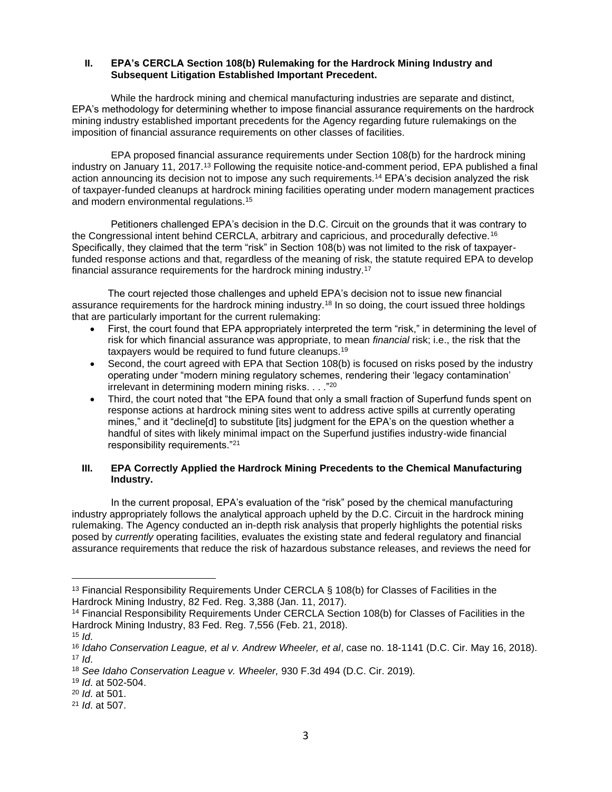### **II. EPA's CERCLA Section 108(b) Rulemaking for the Hardrock Mining Industry and Subsequent Litigation Established Important Precedent.**

While the hardrock mining and chemical manufacturing industries are separate and distinct, EPA's methodology for determining whether to impose financial assurance requirements on the hardrock mining industry established important precedents for the Agency regarding future rulemakings on the imposition of financial assurance requirements on other classes of facilities.

EPA proposed financial assurance requirements under Section 108(b) for the hardrock mining industry on January 11, 2017.<sup>13</sup> Following the requisite notice-and-comment period, EPA published a final action announcing its decision not to impose any such requirements.<sup>14</sup> EPA's decision analyzed the risk of taxpayer-funded cleanups at hardrock mining facilities operating under modern management practices and modern environmental regulations.<sup>15</sup>

Petitioners challenged EPA's decision in the D.C. Circuit on the grounds that it was contrary to the Congressional intent behind CERCLA, arbitrary and capricious, and procedurally defective.<sup>16</sup> Specifically, they claimed that the term "risk" in Section 108(b) was not limited to the risk of taxpayerfunded response actions and that, regardless of the meaning of risk, the statute required EPA to develop financial assurance requirements for the hardrock mining industry.<sup>17</sup>

The court rejected those challenges and upheld EPA's decision not to issue new financial assurance requirements for the hardrock mining industry.<sup>18</sup> In so doing, the court issued three holdings that are particularly important for the current rulemaking:

- First, the court found that EPA appropriately interpreted the term "risk," in determining the level of risk for which financial assurance was appropriate, to mean *financial* risk; i.e., the risk that the taxpayers would be required to fund future cleanups.<sup>19</sup>
- Second, the court agreed with EPA that Section 108(b) is focused on risks posed by the industry operating under "modern mining regulatory schemes, rendering their 'legacy contamination' irrelevant in determining modern mining risks. . . ."<sup>20</sup>
- Third, the court noted that "the EPA found that only a small fraction of Superfund funds spent on response actions at hardrock mining sites went to address active spills at currently operating mines," and it "decline[d] to substitute [its] judgment for the EPA's on the question whether a handful of sites with likely minimal impact on the Superfund justifies industry-wide financial responsibility requirements."<sup>21</sup>

## **III. EPA Correctly Applied the Hardrock Mining Precedents to the Chemical Manufacturing Industry.**

In the current proposal, EPA's evaluation of the "risk" posed by the chemical manufacturing industry appropriately follows the analytical approach upheld by the D.C. Circuit in the hardrock mining rulemaking. The Agency conducted an in-depth risk analysis that properly highlights the potential risks posed by *currently* operating facilities, evaluates the existing state and federal regulatory and financial assurance requirements that reduce the risk of hazardous substance releases, and reviews the need for

<sup>&</sup>lt;sup>13</sup> Financial Responsibility Requirements Under CERCLA § 108(b) for Classes of Facilities in the Hardrock Mining Industry, 82 Fed. Reg. 3,388 (Jan. 11, 2017).

<sup>14</sup> Financial Responsibility Requirements Under CERCLA Section 108(b) for Classes of Facilities in the Hardrock Mining Industry, 83 Fed. Reg. 7,556 (Feb. 21, 2018).

 $15$  *Id.* 

<sup>16</sup> *Idaho Conservation League, et al v. Andrew Wheeler, et al*, case no. 18-1141 (D.C. Cir. May 16, 2018).  $17$  *Id.* 

<sup>18</sup> *See Idaho Conservation League v. Wheeler,* 930 F.3d 494 (D.C. Cir. 2019)*.*

<sup>19</sup> *Id*. at 502-504.

<sup>20</sup> *Id*. at 501.

<sup>21</sup> *Id*. at 507.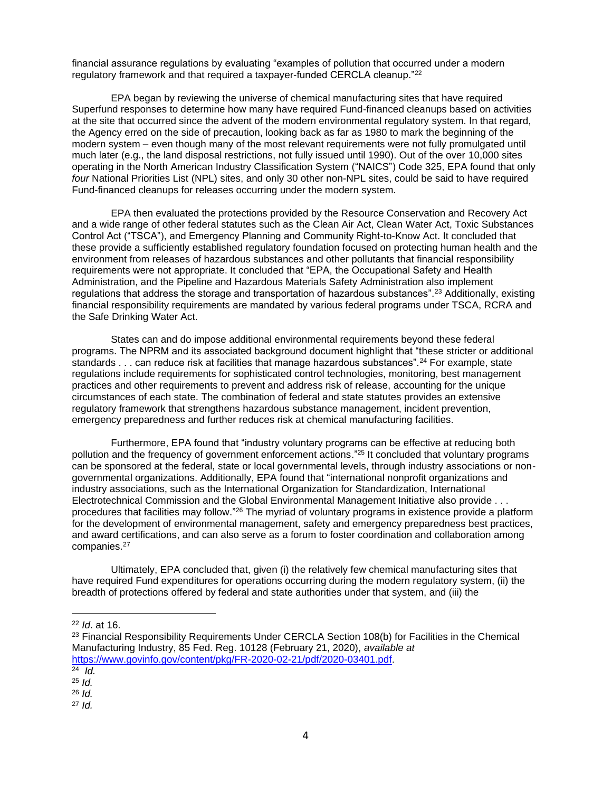financial assurance regulations by evaluating "examples of pollution that occurred under a modern regulatory framework and that required a taxpayer-funded CERCLA cleanup."<sup>22</sup>

EPA began by reviewing the universe of chemical manufacturing sites that have required Superfund responses to determine how many have required Fund-financed cleanups based on activities at the site that occurred since the advent of the modern environmental regulatory system. In that regard, the Agency erred on the side of precaution, looking back as far as 1980 to mark the beginning of the modern system – even though many of the most relevant requirements were not fully promulgated until much later (e.g., the land disposal restrictions, not fully issued until 1990). Out of the over 10,000 sites operating in the North American Industry Classification System ("NAICS") Code 325, EPA found that only *four* National Priorities List (NPL) sites, and only 30 other non-NPL sites, could be said to have required Fund-financed cleanups for releases occurring under the modern system.

EPA then evaluated the protections provided by the Resource Conservation and Recovery Act and a wide range of other federal statutes such as the Clean Air Act, Clean Water Act, Toxic Substances Control Act ("TSCA"), and Emergency Planning and Community Right-to-Know Act. It concluded that these provide a sufficiently established regulatory foundation focused on protecting human health and the environment from releases of hazardous substances and other pollutants that financial responsibility requirements were not appropriate. It concluded that "EPA, the Occupational Safety and Health Administration, and the Pipeline and Hazardous Materials Safety Administration also implement regulations that address the storage and transportation of hazardous substances".<sup>23</sup> Additionally, existing financial responsibility requirements are mandated by various federal programs under TSCA, RCRA and the Safe Drinking Water Act.

States can and do impose additional environmental requirements beyond these federal programs. The NPRM and its associated background document highlight that "these stricter or additional standards . . . can reduce risk at facilities that manage hazardous substances".<sup>24</sup> For example, state regulations include requirements for sophisticated control technologies, monitoring, best management practices and other requirements to prevent and address risk of release, accounting for the unique circumstances of each state. The combination of federal and state statutes provides an extensive regulatory framework that strengthens hazardous substance management, incident prevention, emergency preparedness and further reduces risk at chemical manufacturing facilities.

Furthermore, EPA found that "industry voluntary programs can be effective at reducing both pollution and the frequency of government enforcement actions." <sup>25</sup> It concluded that voluntary programs can be sponsored at the federal, state or local governmental levels, through industry associations or nongovernmental organizations. Additionally, EPA found that "international nonprofit organizations and industry associations, such as the International Organization for Standardization, International Electrotechnical Commission and the Global Environmental Management Initiative also provide . . . procedures that facilities may follow."<sup>26</sup> The myriad of voluntary programs in existence provide a platform for the development of environmental management, safety and emergency preparedness best practices, and award certifications, and can also serve as a forum to foster coordination and collaboration among companies.<sup>27</sup>

Ultimately, EPA concluded that, given (i) the relatively few chemical manufacturing sites that have required Fund expenditures for operations occurring during the modern regulatory system, (ii) the breadth of protections offered by federal and state authorities under that system, and (iii) the

<sup>22</sup> *Id*. at 16.

<sup>&</sup>lt;sup>23</sup> Financial Responsibility Requirements Under CERCLA Section 108(b) for Facilities in the Chemical Manufacturing Industry, 85 Fed. Reg. 10128 (February 21, 2020), *available at*  [https://www.govinfo.gov/content/pkg/FR-2020-02-21/pdf/2020-03401.pdf.](https://www.govinfo.gov/content/pkg/FR-2020-02-21/pdf/2020-03401.pdf)

<sup>24</sup> *Id.*

<sup>25</sup> *Id.*

<sup>26</sup> *Id.*

<sup>27</sup> *Id.*